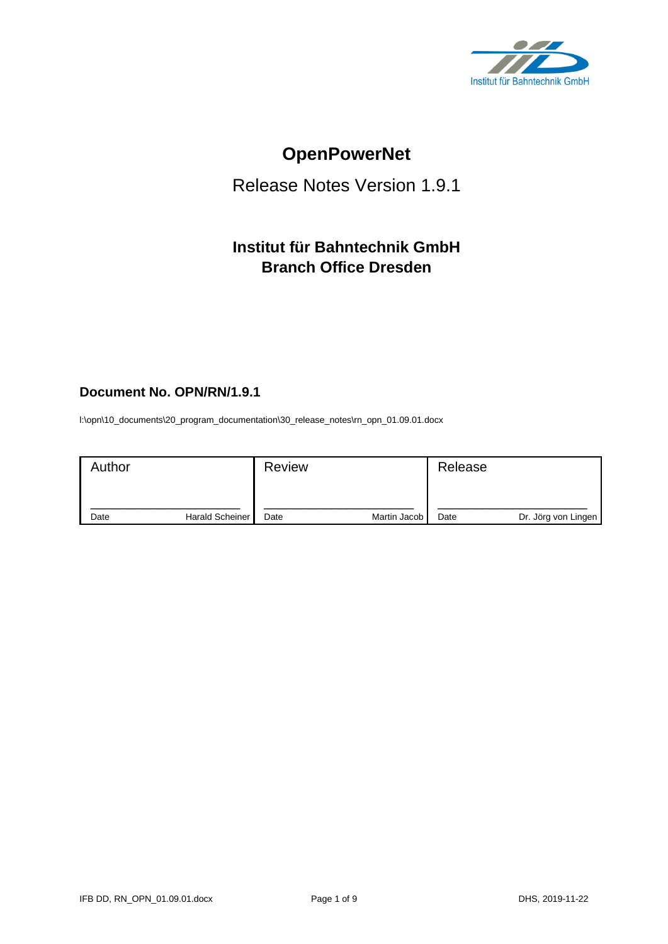

# **OpenPowerNet**

## Release Notes Version 1.9.1

## **Institut für Bahntechnik GmbH Branch Office Dresden**

### **Document No. OPN/RN/1.9.1**

l:\opn\10\_documents\20\_program\_documentation\30\_release\_notes\rn\_opn\_01.09.01.docx

| Author |                 | <b>Review</b> |              | Release |                     |
|--------|-----------------|---------------|--------------|---------|---------------------|
| Date   | Harald Scheiner | Date          | Martin Jacob | Date    | Dr. Jörg von Lingen |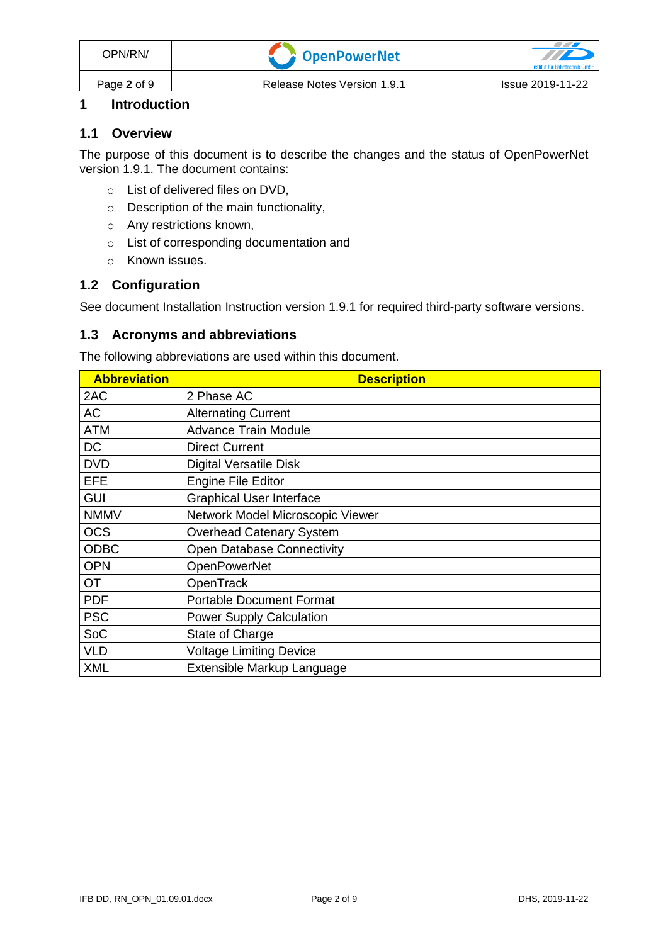#### **1 Introduction**

#### **1.1 Overview**

The purpose of this document is to describe the changes and the status of OpenPowerNet version 1.9.1. The document contains:

- o List of delivered files on DVD,
- o Description of the main functionality,
- o Any restrictions known,
- o List of corresponding documentation and
- o Known issues.

#### **1.2 Configuration**

See document Installation Instruction version 1.9.1 for required third-party software versions.

#### **1.3 Acronyms and abbreviations**

The following abbreviations are used within this document.

| <b>Abbreviation</b> | <b>Description</b>                |
|---------------------|-----------------------------------|
| 2AC                 | 2 Phase AC                        |
| <b>AC</b>           | <b>Alternating Current</b>        |
| <b>ATM</b>          | <b>Advance Train Module</b>       |
| <b>DC</b>           | <b>Direct Current</b>             |
| <b>DVD</b>          | <b>Digital Versatile Disk</b>     |
| <b>EFE</b>          | <b>Engine File Editor</b>         |
| <b>GUI</b>          | <b>Graphical User Interface</b>   |
| <b>NMMV</b>         | Network Model Microscopic Viewer  |
| <b>OCS</b>          | <b>Overhead Catenary System</b>   |
| <b>ODBC</b>         | <b>Open Database Connectivity</b> |
| <b>OPN</b>          | <b>OpenPowerNet</b>               |
| <b>OT</b>           | OpenTrack                         |
| <b>PDF</b>          | <b>Portable Document Format</b>   |
| <b>PSC</b>          | <b>Power Supply Calculation</b>   |
| SoC                 | State of Charge                   |
| <b>VLD</b>          | <b>Voltage Limiting Device</b>    |
| <b>XML</b>          | Extensible Markup Language        |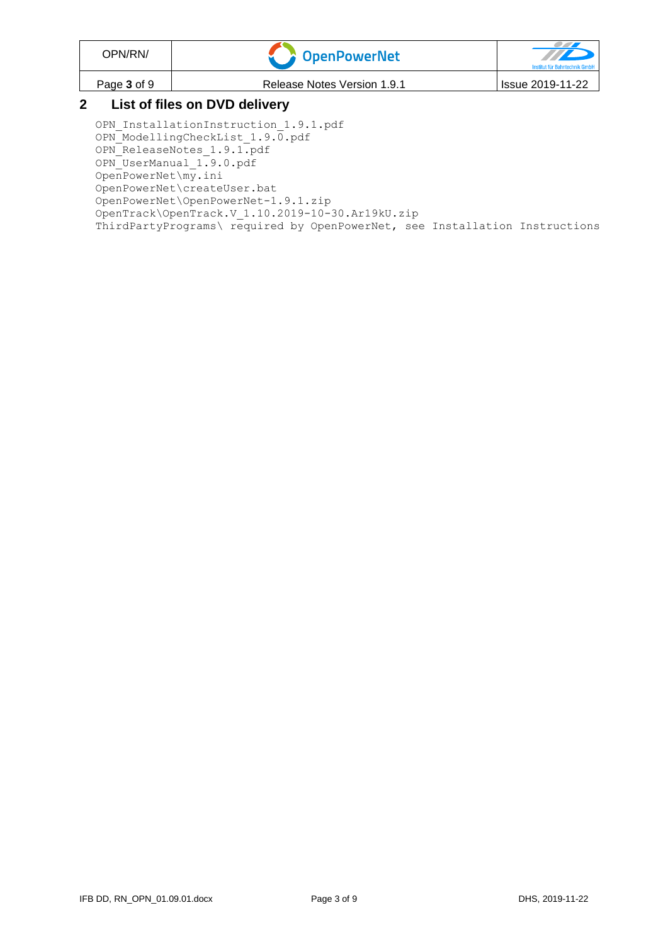| OPN/RN/                       | OpenPowerNet                | TTD<br>Institut für Bahntechnik GmbH |  |  |
|-------------------------------|-----------------------------|--------------------------------------|--|--|
| Page 3 of 9                   | Release Notes Version 1.9.1 | Issue 2019-11-22                     |  |  |
| List of files on DVD delivery |                             |                                      |  |  |

OPN InstallationInstruction 1.9.1.pdf OPN\_ModellingCheckList\_1.9.0.pdf OPN\_ReleaseNotes\_1.9.1.pdf OPN\_UserManual\_1.9.0.pdf OpenPowerNet\my.ini OpenPowerNet\createUser.bat OpenPowerNet\OpenPowerNet-1.9.1.zip OpenTrack\OpenTrack.V\_1.10.2019-10-30.Ar19kU.zip ThirdPartyPrograms\ required by OpenPowerNet, see Installation Instructions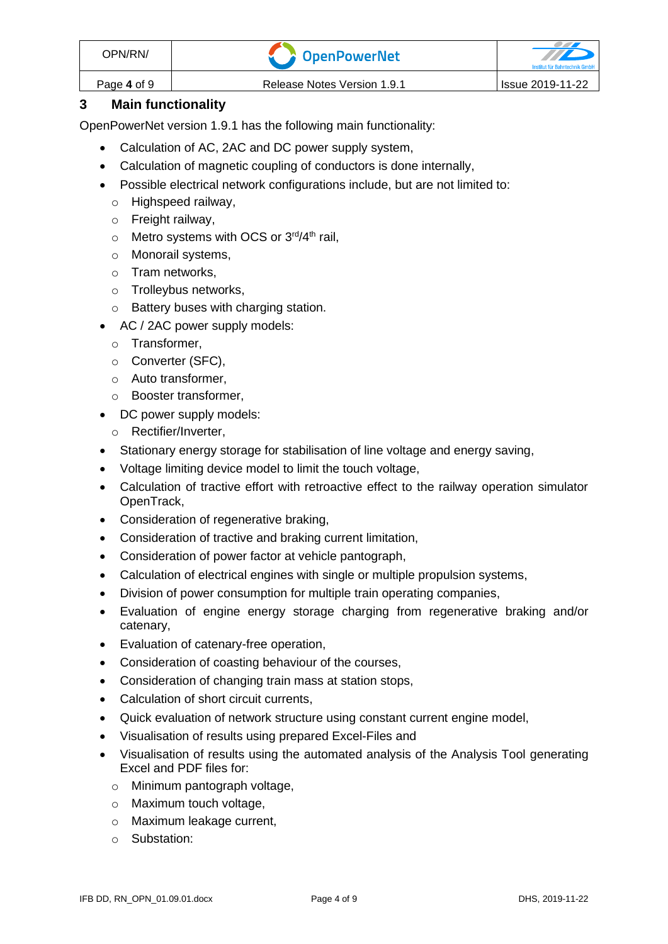| OPN/RN/     | <b>T</b> OpenPowerNet       |                         |
|-------------|-----------------------------|-------------------------|
| Page 4 of 9 | Release Notes Version 1.9.1 | <b>Issue 2019-11-22</b> |

#### **3 Main functionality**

OpenPowerNet version 1.9.1 has the following main functionality:

- Calculation of AC, 2AC and DC power supply system,
- Calculation of magnetic coupling of conductors is done internally,
- Possible electrical network configurations include, but are not limited to:
	- o Highspeed railway,
	- o Freight railway,
	- $\circ$  Metro systems with OCS or 3<sup>rd</sup>/4<sup>th</sup> rail,
	- o Monorail systems,
	- o Tram networks,
	- o Trolleybus networks,
	- o Battery buses with charging station.
- AC / 2AC power supply models:
	- o Transformer,
	- o Converter (SFC),
	- o Auto transformer,
	- o Booster transformer,
- DC power supply models:
	- o Rectifier/Inverter,
- Stationary energy storage for stabilisation of line voltage and energy saving,
- Voltage limiting device model to limit the touch voltage,
- Calculation of tractive effort with retroactive effect to the railway operation simulator OpenTrack,
- Consideration of regenerative braking,
- Consideration of tractive and braking current limitation,
- Consideration of power factor at vehicle pantograph,
- Calculation of electrical engines with single or multiple propulsion systems,
- Division of power consumption for multiple train operating companies,
- Evaluation of engine energy storage charging from regenerative braking and/or catenary,
- Evaluation of catenary-free operation,
- Consideration of coasting behaviour of the courses,
- Consideration of changing train mass at station stops,
- Calculation of short circuit currents,
- Quick evaluation of network structure using constant current engine model,
- Visualisation of results using prepared Excel-Files and
- Visualisation of results using the automated analysis of the Analysis Tool generating Excel and PDF files for:
	- o Minimum pantograph voltage,
	- o Maximum touch voltage,
	- o Maximum leakage current,
	- o Substation: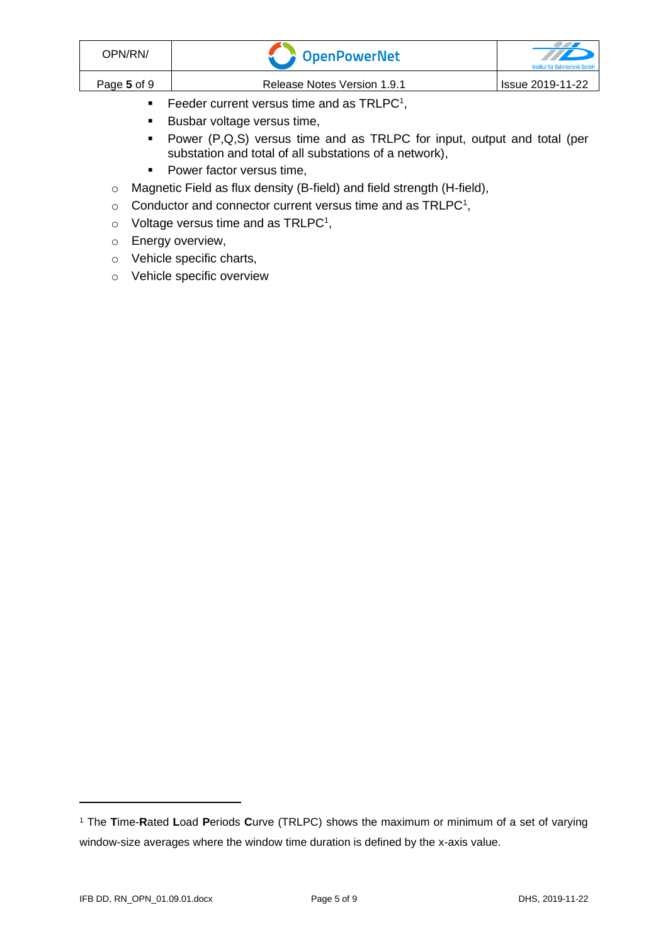| OPN/RN/     | <b>COPENDATE:</b>                                      | TTD<br>Institut für Bahntechnik GmbH |
|-------------|--------------------------------------------------------|--------------------------------------|
| Page 5 of 9 | Release Notes Version 1.9.1                            | Issue 2019-11-22                     |
|             | Feeder current versus time and as TRLPC <sup>1</sup> , |                                      |

- <span id="page-4-0"></span>■ Busbar voltage versus time,
- Power (P,Q,S) versus time and as TRLPC for input, output and total (per substation and total of all substations of a network),
- Power factor versus time,
- o Magnetic Field as flux density (B-field) and field strength (H-field),
- $\circ$  [C](#page-4-0)onductor and connector current versus time and as TRLPC<sup>1</sup>,
- $\circ$  Voltage versus time and as TRLPC<sup>[1](#page-4-0)</sup>,
- o Energy overview,
- o Vehicle specific charts,
- o Vehicle specific overview

<sup>1</sup> The **T**ime-**R**ated **L**oad **P**eriods **C**urve (TRLPC) shows the maximum or minimum of a set of varying window-size averages where the window time duration is defined by the x-axis value.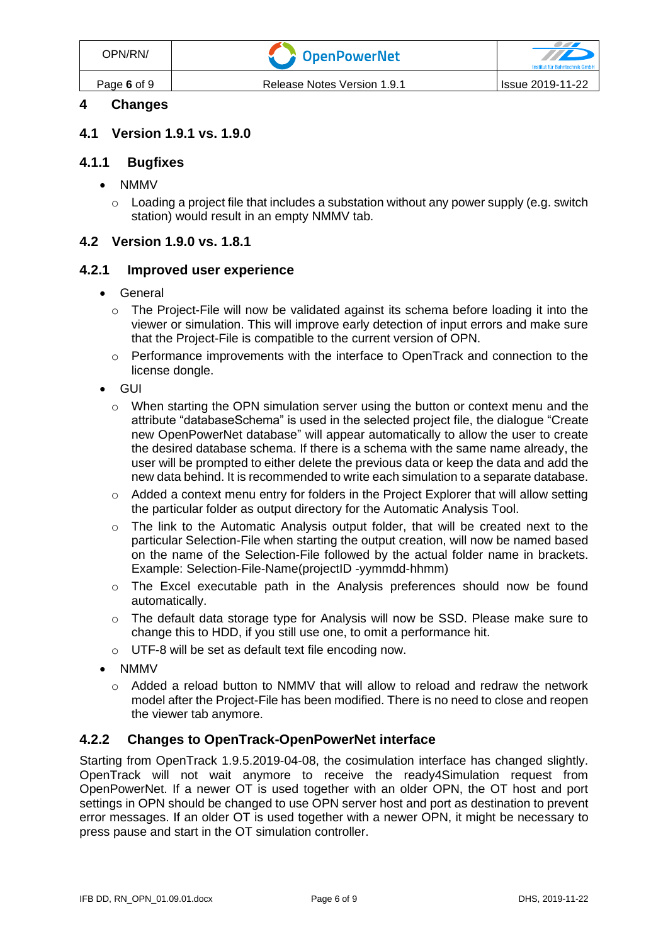#### **4 Changes**

#### **4.1 Version 1.9.1 vs. 1.9.0**

#### **4.1.1 Bugfixes**

- NMMV
	- $\circ$  Loading a project file that includes a substation without any power supply (e.g. switch station) would result in an empty NMMV tab.

#### **4.2 Version 1.9.0 vs. 1.8.1**

#### **4.2.1 Improved user experience**

- General
	- o The Project-File will now be validated against its schema before loading it into the viewer or simulation. This will improve early detection of input errors and make sure that the Project-File is compatible to the current version of OPN.
	- $\circ$  Performance improvements with the interface to OpenTrack and connection to the license dongle.
- GUI
	- $\circ$  When starting the OPN simulation server using the button or context menu and the attribute "databaseSchema" is used in the selected project file, the dialogue "Create new OpenPowerNet database" will appear automatically to allow the user to create the desired database schema. If there is a schema with the same name already, the user will be prompted to either delete the previous data or keep the data and add the new data behind. It is recommended to write each simulation to a separate database.
	- o Added a context menu entry for folders in the Project Explorer that will allow setting the particular folder as output directory for the Automatic Analysis Tool.
	- o The link to the Automatic Analysis output folder, that will be created next to the particular Selection-File when starting the output creation, will now be named based on the name of the Selection-File followed by the actual folder name in brackets. Example: Selection-File-Name(projectID -yymmdd-hhmm)
	- o The Excel executable path in the Analysis preferences should now be found automatically.
	- o The default data storage type for Analysis will now be SSD. Please make sure to change this to HDD, if you still use one, to omit a performance hit.
	- o UTF-8 will be set as default text file encoding now.
- NMMV
	- $\circ$  Added a reload button to NMMV that will allow to reload and redraw the network model after the Project-File has been modified. There is no need to close and reopen the viewer tab anymore.

#### **4.2.2 Changes to OpenTrack-OpenPowerNet interface**

Starting from OpenTrack 1.9.5.2019-04-08, the cosimulation interface has changed slightly. OpenTrack will not wait anymore to receive the ready4Simulation request from OpenPowerNet. If a newer OT is used together with an older OPN, the OT host and port settings in OPN should be changed to use OPN server host and port as destination to prevent error messages. If an older OT is used together with a newer OPN, it might be necessary to press pause and start in the OT simulation controller.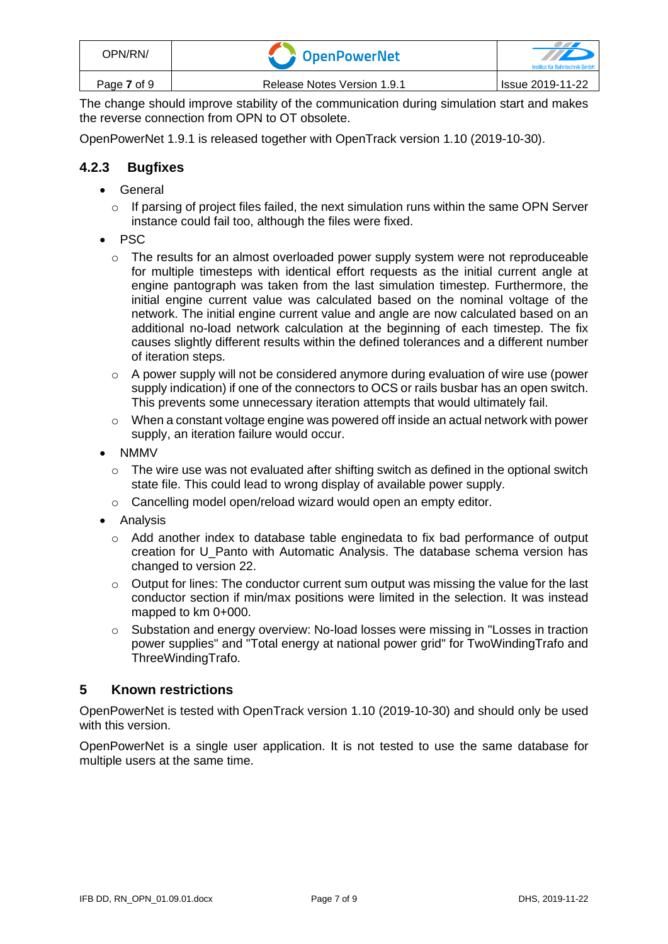| OPN/RN/     | <b>COPENDITY</b> OpenPowerNet | $\mathbb{Z}$<br>Institut für Bahntechnik GmbH |
|-------------|-------------------------------|-----------------------------------------------|
| Page 7 of 9 | Release Notes Version 1.9.1   | <b>Issue 2019-11-22</b>                       |

The change should improve stability of the communication during simulation start and makes the reverse connection from OPN to OT obsolete.

OpenPowerNet 1.9.1 is released together with OpenTrack version 1.10 (2019-10-30).

#### **4.2.3 Bugfixes**

- General
	- $\circ$  If parsing of project files failed, the next simulation runs within the same OPN Server instance could fail too, although the files were fixed.
- PSC
	- $\circ$  The results for an almost overloaded power supply system were not reproduceable for multiple timesteps with identical effort requests as the initial current angle at engine pantograph was taken from the last simulation timestep. Furthermore, the initial engine current value was calculated based on the nominal voltage of the network. The initial engine current value and angle are now calculated based on an additional no-load network calculation at the beginning of each timestep. The fix causes slightly different results within the defined tolerances and a different number of iteration steps.
	- o A power supply will not be considered anymore during evaluation of wire use (power supply indication) if one of the connectors to OCS or rails busbar has an open switch. This prevents some unnecessary iteration attempts that would ultimately fail.
	- o When a constant voltage engine was powered off inside an actual network with power supply, an iteration failure would occur.
- NMMV
	- $\circ$  The wire use was not evaluated after shifting switch as defined in the optional switch state file. This could lead to wrong display of available power supply.
	- o Cancelling model open/reload wizard would open an empty editor.
- Analysis
	- $\circ$  Add another index to database table enginedata to fix bad performance of output creation for U\_Panto with Automatic Analysis. The database schema version has changed to version 22.
	- $\circ$  Output for lines: The conductor current sum output was missing the value for the last conductor section if min/max positions were limited in the selection. It was instead mapped to km 0+000.
	- o Substation and energy overview: No-load losses were missing in "Losses in traction power supplies" and "Total energy at national power grid" for TwoWindingTrafo and ThreeWindingTrafo.

#### **5 Known restrictions**

OpenPowerNet is tested with OpenTrack version 1.10 (2019-10-30) and should only be used with this version.

OpenPowerNet is a single user application. It is not tested to use the same database for multiple users at the same time.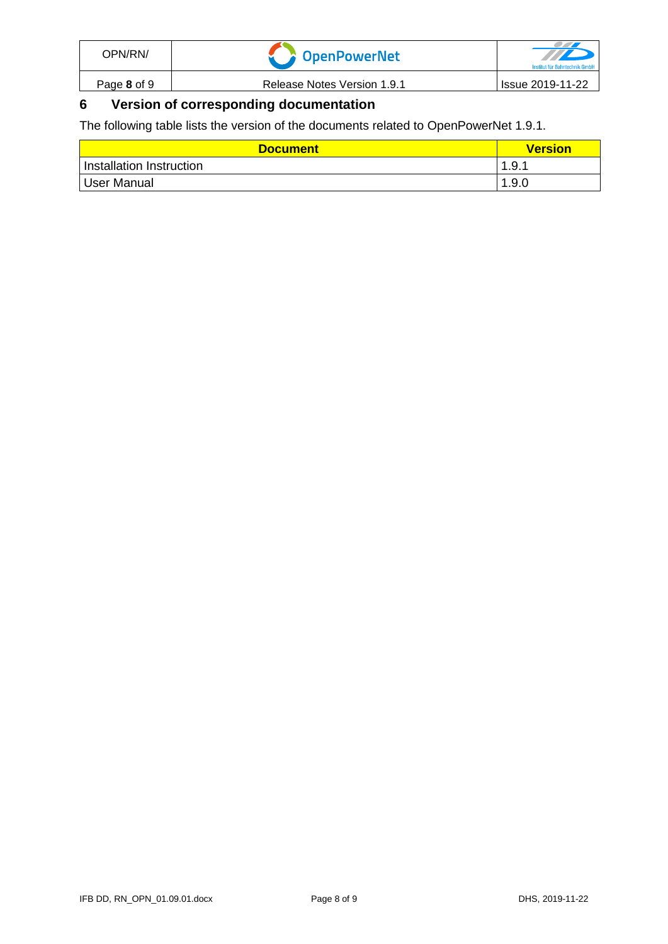| OPN/RN/     | <b>T</b> OpenPowerNet       | Institut für Bahntechnik Gmb |
|-------------|-----------------------------|------------------------------|
| Page 8 of 9 | Release Notes Version 1.9.1 | Issue 2019-11-22             |

## **6 Version of corresponding documentation**

The following table lists the version of the documents related to OpenPowerNet 1.9.1.

| <b>Document</b>          | <b>Version</b> |
|--------------------------|----------------|
| Installation Instruction | 1.9.1          |
| User Manual              | 1.9.0          |